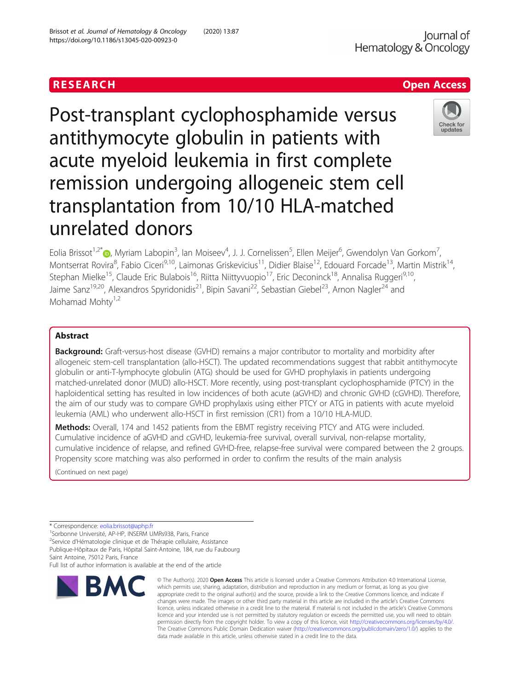Post-transplant cyclophosphamide versus antithymocyte globulin in patients with acute myeloid leukemia in first complete remission undergoing allogeneic stem cell transplantation from 10/10 HLA-matched unrelated donors

Eolia Brissot<sup>1[,](http://orcid.org/0000-0003-4471-418X)2\*</sup>®, Myriam Labopin<sup>3</sup>, Ian Moiseev<sup>4</sup>, J. J. Cornelissen<sup>5</sup>, Ellen Meijer<sup>6</sup>, Gwendolyn Van Gorkom<sup>7</sup> , Montserrat Rovira<sup>8</sup>, Fabio Ciceri<sup>9,10</sup>, Laimonas Griskevicius<sup>11</sup>, Didier Blaise<sup>12</sup>, Edouard Forcade<sup>13</sup>, Martin Mistrik<sup>14</sup>, Stephan Mielke<sup>15</sup>, Claude Eric Bulabois<sup>16</sup>, Riitta Niittyvuopio<sup>17</sup>, Eric Deconinck<sup>18</sup>, Annalisa Ruggeri<sup>9,10</sup>, Jaime Sanz<sup>19,20</sup>, Alexandros Spyridonidis<sup>21</sup>, Bipin Savani<sup>22</sup>, Sebastian Giebel<sup>23</sup>, Arnon Nagler<sup>24</sup> and Mohamad Mohtv $1,2$ 

# Abstract

**Background:** Graft-versus-host disease (GVHD) remains a major contributor to mortality and morbidity after allogeneic stem-cell transplantation (allo-HSCT). The updated recommendations suggest that rabbit antithymocyte globulin or anti-T-lymphocyte globulin (ATG) should be used for GVHD prophylaxis in patients undergoing matched-unrelated donor (MUD) allo-HSCT. More recently, using post-transplant cyclophosphamide (PTCY) in the haploidentical setting has resulted in low incidences of both acute (aGVHD) and chronic GVHD (cGVHD). Therefore, the aim of our study was to compare GVHD prophylaxis using either PTCY or ATG in patients with acute myeloid leukemia (AML) who underwent allo-HSCT in first remission (CR1) from a 10/10 HLA-MUD.

Methods: Overall, 174 and 1452 patients from the EBMT registry receiving PTCY and ATG were included. Cumulative incidence of aGVHD and cGVHD, leukemia-free survival, overall survival, non-relapse mortality, cumulative incidence of relapse, and refined GVHD-free, relapse-free survival were compared between the 2 groups. Propensity score matching was also performed in order to confirm the results of the main analysis

(Continued on next page)

\* Correspondence: [eolia.brissot@aphp.fr](mailto:eolia.brissot@aphp.fr) <sup>1</sup>

<sup>1</sup>Sorbonne Université, AP-HP, INSERM UMRs938, Paris, France

<sup>2</sup>Service d'Hématologie clinique et de Thérapie cellulaire, Assistance Publique-Hôpitaux de Paris, Hôpital Saint-Antoine, 184, rue du Faubourg

Saint Antoine, 75012 Paris, France Full list of author information is available at the end of the article

**RMC** 

#### © The Author(s), 2020 **Open Access** This article is licensed under a Creative Commons Attribution 4.0 International License, which permits use, sharing, adaptation, distribution and reproduction in any medium or format, as long as you give appropriate credit to the original author(s) and the source, provide a link to the Creative Commons licence, and indicate if changes were made. The images or other third party material in this article are included in the article's Creative Commons licence, unless indicated otherwise in a credit line to the material. If material is not included in the article's Creative Commons licence and your intended use is not permitted by statutory regulation or exceeds the permitted use, you will need to obtain permission directly from the copyright holder. To view a copy of this licence, visit [http://creativecommons.org/licenses/by/4.0/.](http://creativecommons.org/licenses/by/4.0/) The Creative Commons Public Domain Dedication waiver [\(http://creativecommons.org/publicdomain/zero/1.0/](http://creativecommons.org/publicdomain/zero/1.0/)) applies to the data made available in this article, unless otherwise stated in a credit line to the data.



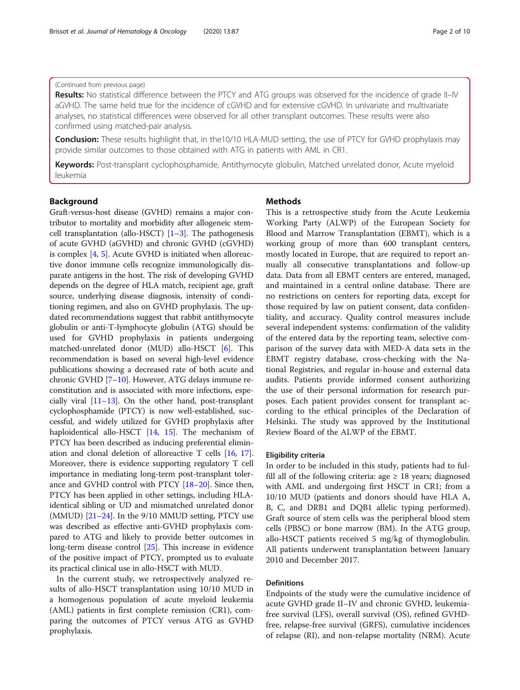## (Continued from previous page)

Results: No statistical difference between the PTCY and ATG groups was observed for the incidence of grade II–IV aGVHD. The same held true for the incidence of cGVHD and for extensive cGVHD. In univariate and multivariate analyses, no statistical differences were observed for all other transplant outcomes. These results were also confirmed using matched-pair analysis.

**Conclusion:** These results highlight that, in the10/10 HLA-MUD setting, the use of PTCY for GVHD prophylaxis may provide similar outcomes to those obtained with ATG in patients with AML in CR1.

Keywords: Post-transplant cyclophosphamide, Antithymocyte globulin, Matched unrelated donor, Acute myeloid leukemia

## Background

Graft-versus-host disease (GVHD) remains a major contributor to mortality and morbidity after allogeneic stemcell transplantation (allo-HSCT)  $[1-3]$  $[1-3]$  $[1-3]$  $[1-3]$  $[1-3]$ . The pathogenesis of acute GVHD (aGVHD) and chronic GVHD (cGVHD) is complex [[4,](#page-8-0) [5\]](#page-8-0). Acute GVHD is initiated when alloreactive donor immune cells recognize immunologically disparate antigens in the host. The risk of developing GVHD depends on the degree of HLA match, recipient age, graft source, underlying disease diagnosis, intensity of conditioning regimen, and also on GVHD prophylaxis. The updated recommendations suggest that rabbit antithymocyte globulin or anti-T-lymphocyte globulin (ATG) should be used for GVHD prophylaxis in patients undergoing matched-unrelated donor (MUD) allo-HSCT [[6](#page-8-0)]. This recommendation is based on several high-level evidence publications showing a decreased rate of both acute and chronic GVHD [[7](#page-8-0)–[10](#page-8-0)]. However, ATG delays immune reconstitution and is associated with more infections, especially viral  $[11-13]$  $[11-13]$  $[11-13]$  $[11-13]$ . On the other hand, post-transplant cyclophosphamide (PTCY) is now well-established, successful, and widely utilized for GVHD prophylaxis after haploidentical allo-HSCT [[14](#page-8-0), [15\]](#page-8-0). The mechanism of PTCY has been described as inducing preferential elimination and clonal deletion of alloreactive T cells [[16,](#page-8-0) [17](#page-8-0)]. Moreover, there is evidence supporting regulatory T cell importance in mediating long-term post-transplant tolerance and GVHD control with PTCY [\[18](#page-8-0)–[20](#page-8-0)]. Since then, PTCY has been applied in other settings, including HLAidentical sibling or UD and mismatched unrelated donor (MMUD) [\[21](#page-8-0)–[24](#page-9-0)]. In the 9/10 MMUD setting, PTCY use was described as effective anti-GVHD prophylaxis compared to ATG and likely to provide better outcomes in long-term disease control [\[25\]](#page-9-0). This increase in evidence of the positive impact of PTCY, prompted us to evaluate its practical clinical use in allo-HSCT with MUD.

In the current study, we retrospectively analyzed results of allo-HSCT transplantation using 10/10 MUD in a homogenous population of acute myeloid leukemia (AML) patients in first complete remission (CR1), comparing the outcomes of PTCY versus ATG as GVHD prophylaxis.

## Methods

This is a retrospective study from the Acute Leukemia Working Party (ALWP) of the European Society for Blood and Marrow Transplantation (EBMT), which is a working group of more than 600 transplant centers, mostly located in Europe, that are required to report annually all consecutive transplantations and follow-up data. Data from all EBMT centers are entered, managed, and maintained in a central online database. There are no restrictions on centers for reporting data, except for those required by law on patient consent, data confidentiality, and accuracy. Quality control measures include several independent systems: confirmation of the validity of the entered data by the reporting team, selective comparison of the survey data with MED-A data sets in the EBMT registry database, cross-checking with the National Registries, and regular in-house and external data audits. Patients provide informed consent authorizing the use of their personal information for research purposes. Each patient provides consent for transplant according to the ethical principles of the Declaration of Helsinki. The study was approved by the Institutional Review Board of the ALWP of the EBMT.

#### Eligibility criteria

In order to be included in this study, patients had to fulfill all of the following criteria: age  $\geq$  18 years; diagnosed with AML and undergoing first HSCT in CR1; from a 10/10 MUD (patients and donors should have HLA A, B, C, and DRB1 and DQB1 allelic typing performed). Graft source of stem cells was the peripheral blood stem cells (PBSC) or bone marrow (BM). In the ATG group, allo-HSCT patients received 5 mg/kg of thymoglobulin. All patients underwent transplantation between January 2010 and December 2017.

## Definitions

Endpoints of the study were the cumulative incidence of acute GVHD grade II–IV and chronic GVHD, leukemiafree survival (LFS), overall survival (OS), refined GVHDfree, relapse-free survival (GRFS), cumulative incidences of relapse (RI), and non-relapse mortality (NRM). Acute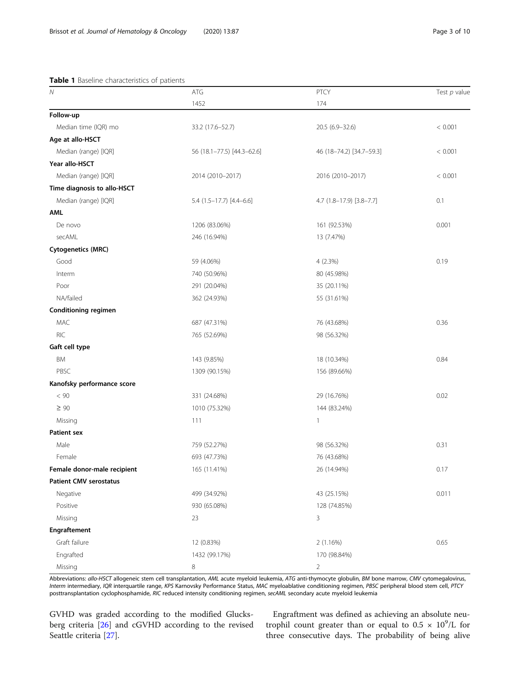### <span id="page-2-0"></span>Table 1 Baseline characteristics of patients

| ${\cal N}$                    | ATG                        | PTCY                     | Test $p$ value |
|-------------------------------|----------------------------|--------------------------|----------------|
|                               | 1452                       | 174                      |                |
| Follow-up                     |                            |                          |                |
| Median time (IQR) mo          | 33.2 (17.6-52.7)           | 20.5 (6.9-32.6)          | < 0.001        |
| Age at allo-HSCT              |                            |                          |                |
| Median (range) [IQR]          | 56 (18.1-77.5) [44.3-62.6] | 46 (18-74.2) [34.7-59.3] | < 0.001        |
| Year allo-HSCT                |                            |                          |                |
| Median (range) [IQR]          | 2014 (2010-2017)           | 2016 (2010-2017)         | < 0.001        |
| Time diagnosis to allo-HSCT   |                            |                          |                |
| Median (range) [IQR]          | $5.4$ (1.5-17.7) [4.4-6.6] | 4.7 (1.8-17.9) [3.8-7.7] | 0.1            |
| AML                           |                            |                          |                |
| De novo                       | 1206 (83.06%)              | 161 (92.53%)             | 0.001          |
| secAML                        | 246 (16.94%)               | 13 (7.47%)               |                |
| <b>Cytogenetics (MRC)</b>     |                            |                          |                |
| Good                          | 59 (4.06%)                 | 4(2.3%)                  | 0.19           |
| Interm                        | 740 (50.96%)               | 80 (45.98%)              |                |
| Poor                          | 291 (20.04%)               | 35 (20.11%)              |                |
| NA/failed                     | 362 (24.93%)               | 55 (31.61%)              |                |
| Conditioning regimen          |                            |                          |                |
| MAC                           | 687 (47.31%)               | 76 (43.68%)              | 0.36           |
| <b>RIC</b>                    | 765 (52.69%)               | 98 (56.32%)              |                |
| Gaft cell type                |                            |                          |                |
| <b>BM</b>                     | 143 (9.85%)                | 18 (10.34%)              | 0.84           |
| PBSC                          | 1309 (90.15%)              | 156 (89.66%)             |                |
| Kanofsky performance score    |                            |                          |                |
| $< 90$                        | 331 (24.68%)               | 29 (16.76%)              | 0.02           |
| $\geq 90$                     | 1010 (75.32%)              | 144 (83.24%)             |                |
| Missing                       | 111                        | 1                        |                |
| <b>Patient sex</b>            |                            |                          |                |
| Male                          | 759 (52.27%)               | 98 (56.32%)              | 0.31           |
| Female                        | 693 (47.73%)               | 76 (43.68%)              |                |
| Female donor-male recipient   | 165 (11.41%)               | 26 (14.94%)              | 0.17           |
| <b>Patient CMV serostatus</b> |                            |                          |                |
| Negative                      | 499 (34.92%)               | 43 (25.15%)              | 0.011          |
| Positive                      | 930 (65.08%)               | 128 (74.85%)             |                |
| Missing                       | 23                         | 3                        |                |
| Engraftement                  |                            |                          |                |
| Graft failure                 | 12 (0.83%)                 | 2 (1.16%)                | 0.65           |
| Engrafted                     | 1432 (99.17%)              | 170 (98.84%)             |                |
| Missing                       | 8                          | 2                        |                |

Abbreviations: allo-HSCT allogeneic stem cell transplantation, AML acute myeloid leukemia, ATG anti-thymocyte globulin, BM bone marrow, CMV cytomegalovirus, Interm intermediary, IQR interquartile range, KPS Karnovsky Performance Status, MAC myeloablative conditioning regimen, PBSC peripheral blood stem cell, PTCY posttransplantation cyclophosphamide, RIC reduced intensity conditioning regimen, secAML secondary acute myeloid leukemia

GVHD was graded according to the modified Glucksberg criteria [[26\]](#page-9-0) and cGVHD according to the revised Seattle criteria [[27](#page-9-0)].

Engraftment was defined as achieving an absolute neutrophil count greater than or equal to  $0.5 \times 10^9$ /L for three consecutive days. The probability of being alive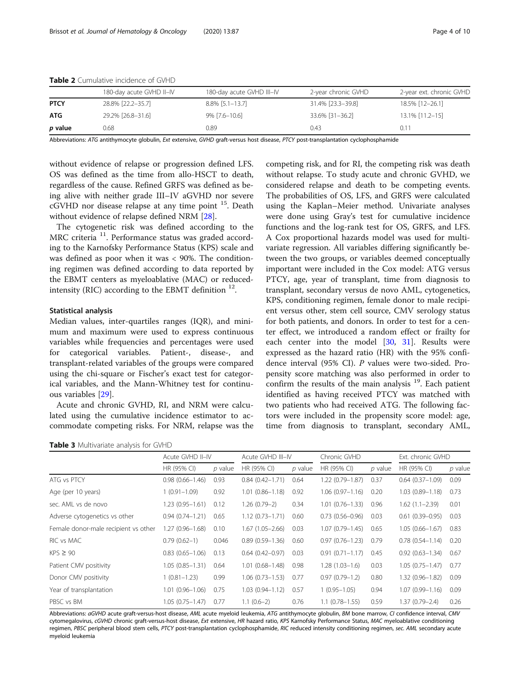|             | 180-day acute GVHD II-IV | 180-day acute GVHD III-IV | 2-year chronic GVHD | 2-year ext. chronic GVHD |
|-------------|--------------------------|---------------------------|---------------------|--------------------------|
| <b>PTCY</b> | 28.8% [22.2-35.7]        | 8.8% [5.1–13.7]           | 31.4% [23.3–39.8]   | 18.5% [12-26.1]          |
| ATG         | 29.2% [26.8-31.6]        | 9% [7.6-10.6]             | 33.6% [31-36.2]     | 13.1% [11.2-15]          |
| p value     | 0.68                     | 0.89                      | 0.43                | 0.11                     |

<span id="page-3-0"></span>Table 2 Cumulative incidence of GVHD

Abbreviations: ATG antithymocyte globulin, Ext extensive, GVHD graft-versus host disease, PTCY post-transplantation cyclophosphamide

without evidence of relapse or progression defined LFS. OS was defined as the time from allo-HSCT to death, regardless of the cause. Refined GRFS was defined as being alive with neither grade III–IV aGVHD nor severe cGVHD nor disease relapse at any time point 15. Death without evidence of relapse defined NRM [\[28](#page-9-0)].

The cytogenetic risk was defined according to the MRC criteria<sup>11</sup>. Performance status was graded according to the Karnofsky Performance Status (KPS) scale and was defined as poor when it was < 90%. The conditioning regimen was defined according to data reported by the EBMT centers as myeloablative (MAC) or reducedintensity (RIC) according to the EBMT definition  $^{12}$ .

### Statistical analysis

Median values, inter-quartiles ranges (IQR), and minimum and maximum were used to express continuous variables while frequencies and percentages were used for categorical variables. Patient-, disease-, and transplant-related variables of the groups were compared using the chi-square or Fischer's exact test for categorical variables, and the Mann-Whitney test for continuous variables [\[29](#page-9-0)].

Acute and chronic GVHD, RI, and NRM were calculated using the cumulative incidence estimator to accommodate competing risks. For NRM, relapse was the

Table 3 Multivariate analysis for GVHD

competing risk, and for RI, the competing risk was death without relapse. To study acute and chronic GVHD, we considered relapse and death to be competing events. The probabilities of OS, LFS, and GRFS were calculated using the Kaplan–Meier method. Univariate analyses were done using Gray's test for cumulative incidence functions and the log-rank test for OS, GRFS, and LFS. A Cox proportional hazards model was used for multivariate regression. All variables differing significantly between the two groups, or variables deemed conceptually important were included in the Cox model: ATG versus PTCY, age, year of transplant, time from diagnosis to transplant, secondary versus de novo AML, cytogenetics, KPS, conditioning regimen, female donor to male recipient versus other, stem cell source, CMV serology status for both patients, and donors. In order to test for a center effect, we introduced a random effect or frailty for each center into the model [[30,](#page-9-0) [31\]](#page-9-0). Results were expressed as the hazard ratio (HR) with the 95% confidence interval (95% CI). P values were two-sided. Propensity score matching was also performed in order to confirm the results of the main analysis  $19$ . Each patient identified as having received PTCY was matched with two patients who had received ATG. The following factors were included in the propensity score model: age, time from diagnosis to transplant, secondary AML,

|                                      | Acute GVHD II-IV       |         | Acute GVHD III-IV   |         | Chronic GVHD        |         | Ext. chronic GVHD   |           |
|--------------------------------------|------------------------|---------|---------------------|---------|---------------------|---------|---------------------|-----------|
|                                      | HR (95% CI)            | p value | HR (95% CI)         | p value | HR (95% CI)         | p value | HR (95% CI)         | $p$ value |
| ATG vs PTCY                          | $0.98(0.66 - 1.46)$    | 0.93    | $0.84(0.42 - 1.71)$ | 0.64    | 1.22 (0.79-1.87)    | 0.37    | $0.64(0.37-1.09)$   | 0.09      |
| Age (per 10 years)                   | $1(0.91 - 1.09)$       | 0.92    | $1.01(0.86 - 1.18)$ | 0.92    | $1.06(0.97 - 1.16)$ | 0.20    | $1.03(0.89 - 1.18)$ | 0.73      |
| sec. AML vs de novo                  | 1.23 (0.95-1.61)       | 0.12    | $1.26(0.79-2)$      | 0.34    | $1.01(0.76 - 1.33)$ | 0.96    | $1.62(1.1 - 2.39)$  | 0.01      |
| Adverse cytogenetics vs other        | $0.94(0.74 - 1.21)$    | 0.65    | $1.12(0.73 - 1.71)$ | 0.60    | $0.73(0.56 - 0.96)$ | 0.03    | $0.61(0.39 - 0.95)$ | 0.03      |
| Female donor-male recipient vs other | 1.27 (0.96-1.68)       | 0.10    | $1.67(1.05 - 2.66)$ | 0.03    | $1.07(0.79 - 1.45)$ | 0.65    | $1.05(0.66 - 1.67)$ | 0.83      |
| RIC vs MAC                           | $0.79(0.62-1)$         | 0.046   | $0.89(0.59 - 1.36)$ | 0.60    | $0.97(0.76 - 1.23)$ | 0.79    | $0.78(0.54 - 1.14)$ | 0.20      |
| $KPS \geq 90$                        | $0.83$ $(0.65 - 1.06)$ | 0.13    | $0.64(0.42 - 0.97)$ | 0.03    | $0.91(0.71 - 1.17)$ | 0.45    | $0.92(0.63 - 1.34)$ | 0.67      |
| Patient CMV positivity               | $1.05(0.85 - 1.31)$    | 0.64    | $1.01(0.68 - 1.48)$ | 0.98    | $1.28(1.03 - 1.6)$  | 0.03    | $1.05(0.75 - 1.47)$ | 0.77      |
| Donor CMV positivity                 | $1(0.81 - 1.23)$       | 0.99    | $1.06(0.73 - 1.53)$ | 0.77    | $0.97(0.79 - 1.2)$  | 0.80    | 1.32 (0.96-1.82)    | 0.09      |
| Year of transplantation              | $1.01(0.96 - 1.06)$    | 0.75    | $1.03(0.94 - 1.12)$ | 0.57    | $(0.95 - 1.05)$     | 0.94    | $1.07(0.99 - 1.16)$ | 0.09      |
| PBSC vs BM                           | 1.05 (0.75-1.47)       | 0.77    | $1.1(0.6-2)$        | 0.76    | $1.1(0.78 - 1.55)$  | 0.59    | 1.37 (0.79-2.4)     | 0.26      |

Abbreviations: aGVHD acute graft-versus-host disease, AML acute myeloid leukemia, ATG antithymocyte globulin, BM bone marrow, CI confidence interval, CMV cytomegalovirus, cGVHD chronic graft-versus-host disease, Ext extensive, HR hazard ratio, KPS Karnofsky Performance Status, MAC myeloablative conditioning regimen, PBSC peripheral blood stem cells, PTCY post-transplantation cyclophosphamide, RIC reduced intensity conditioning regimen, sec. AML secondary acute myeloid leukemia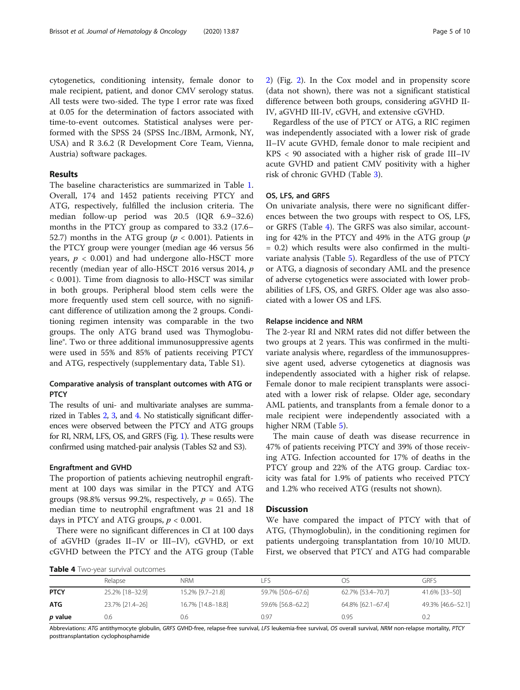formed with the SPSS 24 (SPSS Inc./IBM, Armonk, NY, USA) and R 3.6.2 (R Development Core Team, Vienna, Austria) software packages.

## Results

The baseline characteristics are summarized in Table [1](#page-2-0). Overall, 174 and 1452 patients receiving PTCY and ATG, respectively, fulfilled the inclusion criteria. The median follow-up period was 20.5 (IQR 6.9–32.6) months in the PTCY group as compared to 33.2 (17.6– 52.7) months in the ATG group ( $p < 0.001$ ). Patients in the PTCY group were younger (median age 46 versus 56 years,  $p < 0.001$ ) and had undergone allo-HSCT more recently (median year of allo-HSCT 2016 versus 2014, p < 0.001). Time from diagnosis to allo-HSCT was similar in both groups. Peripheral blood stem cells were the more frequently used stem cell source, with no significant difference of utilization among the 2 groups. Conditioning regimen intensity was comparable in the two groups. The only ATG brand used was Thymoglobuline®. Two or three additional immunosuppressive agents were used in 55% and 85% of patients receiving PTCY and ATG, respectively (supplementary data, Table S1).

## Comparative analysis of transplant outcomes with ATG or **PTCY**

The results of uni- and multivariate analyses are summarized in Tables [2,](#page-3-0) [3](#page-3-0), and 4. No statistically significant differences were observed between the PTCY and ATG groups for RI, NRM, LFS, OS, and GRFS (Fig. [1](#page-5-0)). These results were confirmed using matched-pair analysis (Tables S2 and S3).

## Engraftment and GVHD

The proportion of patients achieving neutrophil engraftment at 100 days was similar in the PTCY and ATG groups (98.8% versus 99.2%, respectively,  $p = 0.65$ ). The median time to neutrophil engraftment was 21 and 18 days in PTCY and ATG groups,  $p < 0.001$ .

There were no significant differences in CI at 100 days of aGVHD (grades II–IV or III–IV), cGVHD, or ext cGVHD between the PTCY and the ATG group (Table

| Table 4 Two-year survival outcomes |  |  |
|------------------------------------|--|--|
|------------------------------------|--|--|

[2\)](#page-3-0) (Fig. [2\)](#page-6-0). In the Cox model and in propensity score (data not shown), there was not a significant statistical difference between both groups, considering aGVHD II-IV, aGVHD III-IV, cGVH, and extensive cGVHD.

Regardless of the use of PTCY or ATG, a RIC regimen was independently associated with a lower risk of grade II–IV acute GVHD, female donor to male recipient and KPS < 90 associated with a higher risk of grade III–IV acute GVHD and patient CMV positivity with a higher risk of chronic GVHD (Table [3](#page-3-0)).

## OS, LFS, and GRFS

On univariate analysis, there were no significant differences between the two groups with respect to OS, LFS, or GRFS (Table 4). The GRFS was also similar, accounting for 42% in the PTCY and 49% in the ATG group  $(p)$ = 0.2) which results were also confirmed in the multivariate analysis (Table [5\)](#page-6-0). Regardless of the use of PTCY or ATG, a diagnosis of secondary AML and the presence of adverse cytogenetics were associated with lower probabilities of LFS, OS, and GRFS. Older age was also associated with a lower OS and LFS.

### Relapse incidence and NRM

The 2-year RI and NRM rates did not differ between the two groups at 2 years. This was confirmed in the multivariate analysis where, regardless of the immunosuppressive agent used, adverse cytogenetics at diagnosis was independently associated with a higher risk of relapse. Female donor to male recipient transplants were associated with a lower risk of relapse. Older age, secondary AML patients, and transplants from a female donor to a male recipient were independently associated with a higher NRM (Table [5](#page-6-0)).

The main cause of death was disease recurrence in 47% of patients receiving PTCY and 39% of those receiving ATG. Infection accounted for 17% of deaths in the PTCY group and 22% of the ATG group. Cardiac toxicity was fatal for 1.9% of patients who received PTCY and 1.2% who received ATG (results not shown).

## **Discussion**

We have compared the impact of PTCY with that of ATG, (Thymoglobulin), in the conditioning regimen for patients undergoing transplantation from 10/10 MUD. First, we observed that PTCY and ATG had comparable

PTCY 25.2% [18–32.9] 15.2% [9.7–21.8] 59.7% [50.6–67.6] 62.7% [53.4–70.7] 41.6% [33–50]

Relapse NRM LFS OS GRFS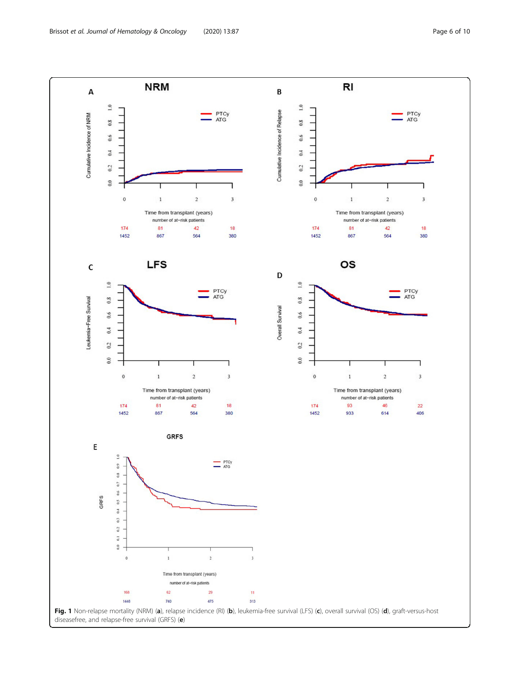<span id="page-5-0"></span>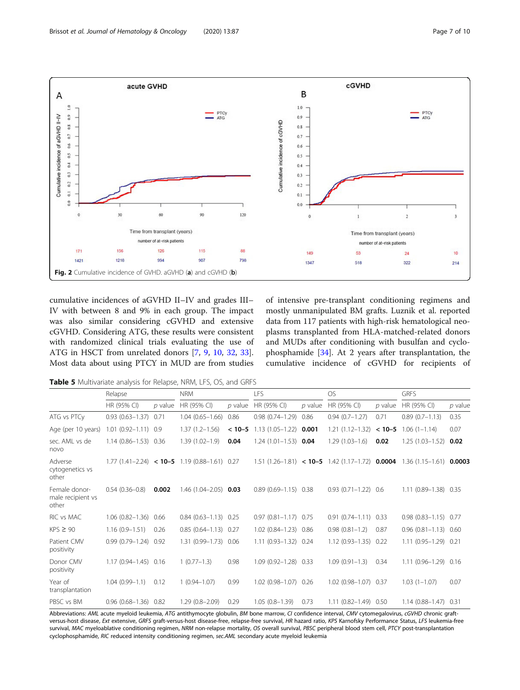<span id="page-6-0"></span>

cumulative incidences of aGVHD II–IV and grades III– IV with between 8 and 9% in each group. The impact was also similar considering cGVHD and extensive cGVHD. Considering ATG, these results were consistent with randomized clinical trials evaluating the use of ATG in HSCT from unrelated donors [[7,](#page-8-0) [9](#page-8-0), [10](#page-8-0), [32,](#page-9-0) [33](#page-9-0)]. Most data about using PTCY in MUD are from studies of intensive pre-transplant conditioning regimens and mostly unmanipulated BM grafts. Luznik et al. reported data from 117 patients with high-risk hematological neoplasms transplanted from HLA-matched-related donors and MUDs after conditioning with busulfan and cyclophosphamide [[34\]](#page-9-0). At 2 years after transplantation, the cumulative incidence of cGVHD for recipients of

Table 5 Multivariate analysis for Relapse, NRM, LFS, OS, and GRFS

|                                             | Relapse                  |           | <b>NRM</b>                                                   |           | <b>LFS</b>                  |           | <b>OS</b>                                                         |           | <b>GRFS</b>                 |           |
|---------------------------------------------|--------------------------|-----------|--------------------------------------------------------------|-----------|-----------------------------|-----------|-------------------------------------------------------------------|-----------|-----------------------------|-----------|
|                                             | HR (95% CI)              | $p$ value | HR (95% CI)                                                  | $p$ value | HR (95% CI)                 | $p$ value | HR (95% CI)                                                       | $p$ value | HR (95% CI)                 | $p$ value |
| ATG vs PTCy                                 | $0.93(0.63 - 1.37)$ 0.71 |           | $1.04(0.65 - 1.66)$                                          | 0.86      | $0.98(0.74 - 1.29)$         | 0.86      | $0.94(0.7 - 1.27)$                                                | 0.71      | $0.89(0.7-1.13)$            | 0.35      |
| Age (per 10 years)                          | $1.01(0.92 - 1.11)0.9$   |           | $1.37(1.2 - 1.56)$                                           | $< 10-5$  | $1.13(1.05 - 1.22)$         | 0.001     | $1.21(1.12 - 1.32)$                                               | $< 10-5$  | $1.06(1 - 1.14)$            | 0.07      |
| sec. AML vs de<br>novo                      | 1.14 (0.86-1.53) 0.36    |           | $1.39(1.02 - 1.9)$                                           | 0.04      | $1.24(1.01-1.53)$ 0.04      |           | $1.29(1.03 - 1.6)$                                                | 0.02      | $1.25(1.03 - 1.52)$         | 0.02      |
| Adverse<br>cytogenetics vs<br>other         |                          |           | 1.77 $(1.41 - 2.24)$ < <b>10-5</b> 1.19 $(0.88 - 1.61)$ 0.27 |           |                             |           | 1.51 $(1.26-1.81)$ < <b>10-5</b> 1.42 $(1.17-1.72)$ <b>0.0004</b> |           | $1.36(1.15-1.61)$ 0.0003    |           |
| Female donor-<br>male recipient vs<br>other | $0.54(0.36 - 0.8)$       | 0.002     | 1.46 (1.04-2.05)                                             | 0.03      | $0.89(0.69 - 1.15)$         | 0.38      | $0.93(0.71 - 1.22)0.6$                                            |           | $1.11(0.89 - 1.38)$         | 0.35      |
| RIC vs MAC                                  | $1.06(0.82 - 1.36)$ 0.66 |           | $0.84$ $(0.63 - 1.13)$ 0.25                                  |           | $0.97$ $(0.81 - 1.17)$ 0.75 |           | $0.91(0.74 - 1.11)$ 0.33                                          |           | $0.98$ $(0.83 - 1.15)$ 0.77 |           |
| $KPS \geq 90$                               | $1.16(0.9 - 1.51)$       | 0.26      | $0.85(0.64 - 1.13)0.27$                                      |           | 1.02 (0.84-1.23) 0.86       |           | $0.98(0.81 - 1.2)$                                                | 0.87      | $0.96$ $(0.81 - 1.13)$ 0.60 |           |
| Patient CMV<br>positivity                   | $0.99(0.79 - 1.24)0.92$  |           | 1.31 (0.99-1.73) 0.06                                        |           | 1.11 (0.93-1.32) 0.24       |           | $1.12(0.93 - 1.35)0.22$                                           |           | 1.11 (0.95-1.29) 0.21       |           |
| Donor CMV<br>positivity                     | 1.17 (0.94-1.45) 0.16    |           | $1(0.77-1.3)$                                                | 0.98      | 1.09 (0.92-1.28) 0.33       |           | $1.09(0.91 - 1.3)$                                                | 0.34      | $1.11(0.96 - 1.29)0.16$     |           |
| Year of<br>transplantation                  | $1.04(0.99 - 1.1)$       | 0.12      | $1(0.94 - 1.07)$                                             | 0.99      | $1.02(0.98 - 1.07)$         | 0.26      | $1.02(0.98 - 1.07)$                                               | 0.37      | $1.03(1 - 1.07)$            | 0.07      |
| PBSC vs BM                                  | $0.96(0.68 - 1.36)0.82$  |           | $1.29(0.8 - 2.09)$                                           | 0.29      | $1.05(0.8-1.39)$            | 0.73      | $1.11(0.82 - 1.49)0.50$                                           |           | $1.14(0.88 - 1.47)$ 0.31    |           |

Abbreviations: AML acute myeloid leukemia, ATG antithymocyte globulin, BM bone marrow, CI confidence interval, CMV cytomegalovirus, cGVHD chronic graftversus-host disease, Ext extensive, GRFS graft-versus-host disease-free, relapse-free survival, HR hazard ratio, KPS Karnofsky Performance Status, LFS leukemia-free survival, MAC myeloablative conditioning regimen, NRM non-relapse mortality, OS overall survival, PBSC peripheral blood stem cell, PTCY post-transplantation cyclophosphamide, RIC reduced intensity conditioning regimen, sec.AML secondary acute myeloid leukemia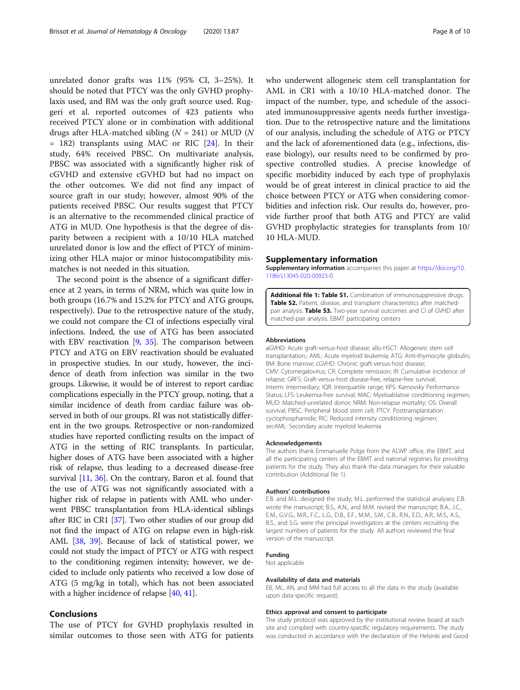unrelated donor grafts was 11% (95% CI, 3–25%). It should be noted that PTCY was the only GVHD prophylaxis used, and BM was the only graft source used. Ruggeri et al. reported outcomes of 423 patients who received PTCY alone or in combination with additional drugs after HLA-matched sibling  $(N = 241)$  or MUD  $(N$ = 182) transplants using MAC or RIC [[24](#page-9-0)]. In their study, 64% received PBSC. On multivariate analysis, PBSC was associated with a significantly higher risk of cGVHD and extensive cGVHD but had no impact on the other outcomes. We did not find any impact of source graft in our study; however, almost 90% of the patients received PBSC. Our results suggest that PTCY is an alternative to the recommended clinical practice of ATG in MUD. One hypothesis is that the degree of disparity between a recipient with a 10/10 HLA matched unrelated donor is low and the effect of PTCY of minimizing other HLA major or minor histocompatibility mismatches is not needed in this situation.

The second point is the absence of a significant difference at 2 years, in terms of NRM, which was quite low in both groups (16.7% and 15.2% for PTCY and ATG groups, respectively). Due to the retrospective nature of the study, we could not compare the CI of infections especially viral infections. Indeed, the use of ATG has been associated with EBV reactivation [\[9,](#page-8-0) [35\]](#page-9-0). The comparison between PTCY and ATG on EBV reactivation should be evaluated in prospective studies. In our study, however, the incidence of death from infection was similar in the two groups. Likewise, it would be of interest to report cardiac complications especially in the PTCY group, noting, that a similar incidence of death from cardiac failure was observed in both of our groups. RI was not statistically different in the two groups. Retrospective or non-randomized studies have reported conflicting results on the impact of ATG in the setting of RIC transplants. In particular, higher doses of ATG have been associated with a higher risk of relapse, thus leading to a decreased disease-free survival [[11](#page-8-0), [36](#page-9-0)]. On the contrary, Baron et al. found that the use of ATG was not significantly associated with a higher risk of relapse in patients with AML who underwent PBSC transplantation from HLA-identical siblings after RIC in CR1 [\[37\]](#page-9-0). Two other studies of our group did not find the impact of ATG on relapse even in high-risk AML [\[38,](#page-9-0) [39](#page-9-0)]. Because of lack of statistical power, we could not study the impact of PTCY or ATG with respect to the conditioning regimen intensity; however, we decided to include only patients who received a low dose of ATG (5 mg/kg in total), which has not been associated with a higher incidence of relapse [\[40](#page-9-0), [41](#page-9-0)].

## Conclusions

The use of PTCY for GVHD prophylaxis resulted in similar outcomes to those seen with ATG for patients who underwent allogeneic stem cell transplantation for AML in CR1 with a 10/10 HLA-matched donor. The impact of the number, type, and schedule of the associated immunosuppressive agents needs further investigation. Due to the retrospective nature and the limitations of our analysis, including the schedule of ATG or PTCY and the lack of aforementioned data (e.g., infections, disease biology), our results need to be confirmed by prospective controlled studies. A precise knowledge of specific morbidity induced by each type of prophylaxis would be of great interest in clinical practice to aid the choice between PTCY or ATG when considering comorbidities and infection risk. Our results do, however, provide further proof that both ATG and PTCY are valid GVHD prophylactic strategies for transplants from 10/ 10 HLA-MUD.

#### Supplementary information

Supplementary information accompanies this paper at [https://doi.org/10.](https://doi.org/10.1186/s13045-020-00923-0) [1186/s13045-020-00923-0](https://doi.org/10.1186/s13045-020-00923-0).

Additional file 1: Table S1. Combination of immunosuppressive drugs. Table S2. Patient, disease, and transplant characteristics after matchedpair analysis. Table S3. Two-year survival outcomes and CI of GVHD after matched-pair analysis. EBMT participating centers

#### Abbreviations

aGVHD: Acute graft-versus-host disease; allo-HSCT: Allogeneic stem cell transplantation.; AML: Acute myeloid leukemia; ATG: Anti-thymocyte globulin; BM: Bone marrow; cGVHD: Chronic graft-versus-host disease; CMV: Cytomegalovirus; CR: Complete remission; IR: Cumulative incidence of relapse; GRFS: Graft-versus-host disease-free, relapse-free survival; Interm: Intermediary; IQR: Interquartile range; KPS: Karnovsky Performance Status; LFS: Leukemia-free survival; MAC: Myeloablative conditioning regimen; MUD: Matched-unrelated donor; NRM: Non-relapse mortality; OS: Overall survival; PBSC: Peripheral blood stem cell; PTCY: Posttransplantation cyclophosphamide; RIC: Reduced intensity conditioning regimen; secAML: Secondary acute myeloid leukemia

#### Acknowledgements

The authors thank Emmanuelle Polge from the ALWP office, the EBMT, and all the participating centers of the EBMT and national registries for providing patients for the study. They also thank the data managers for their valuable contribution (Additional file 1).

#### Authors' contributions

E.B. and M.L. designed the study; M.L. performed the statistical analyses; E.B. wrote the manuscript; B.S., A.N., and M.M. revised the manuscript; B.A., J.C., E.M., G.V.G., M.R., F.C., L.G., D.B., E.F., M.M., S.M., C.B., R.N., E.D., A.R., M.S., A.S., B.S., and S.G. were the principal investigators at the centers recruiting the largest numbers of patients for the study. All authors reviewed the final version of the manuscript.

#### Funding

Not applicable

#### Availability of data and materials

EB, ML, AN, and MM had full access to all the data in the study (available upon data-specific request).

#### Ethics approval and consent to participate

The study protocol was approved by the institutional review board at each site and complied with country-specific regulatory requirements. The study was conducted in accordance with the declaration of the Helsinki and Good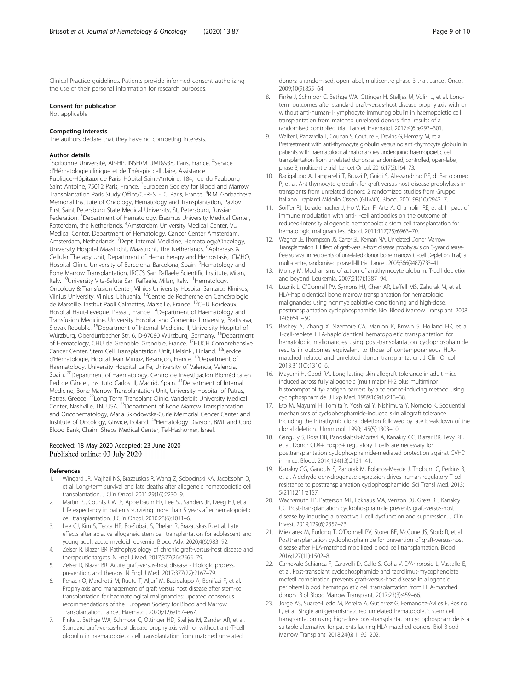<span id="page-8-0"></span>Clinical Practice guidelines. Patients provide informed consent authorizing the use of their personal information for research purposes.

#### Consent for publication

Not applicable

## Competing interests

The authors declare that they have no competing interests.

#### Author details

<sup>1</sup>Sorbonne Université, AP-HP, INSERM UMRs938, Paris, France. <sup>2</sup>Service d'Hématologie clinique et de Thérapie cellulaire, Assistance Publique-Hôpitaux de Paris, Hôpital Saint-Antoine, 184, rue du Faubourg Saint Antoine, 75012 Paris, France. <sup>3</sup>European Society for Blood and Marrow Transplantation Paris Study Office/CEREST-TC, Paris, France. <sup>4</sup>R.M. Gorbacheva Memorial Institute of Oncology, Hematology and Transplantation, Pavlov First Saint Petersburg State Medical University, St. Petersburg, Russian Federation. <sup>5</sup>Department of Hematology, Erasmus University Medical Center, Rotterdam, the Netherlands. <sup>6</sup>Amsterdam University Medical Center, VU Medical Center, Department of Hematology, Cancer Center Amsterdam, Amsterdam, Netherlands. <sup>7</sup>Dept. Internal Medicine, Hematology/Oncology, University Hospital Maastricht, Maastricht, The Netherlands. <sup>8</sup>Apheresis & Cellular Therapy Unit, Department of Hemotherapy and Hemostasis, ICMHO, Hospital Clínic, University of Barcelona, Barcelona, Spain. <sup>9</sup>Hematology and Bone Marrow Transplantation, IRCCS San Raffaele Scientific Institute, Milan, Italy. <sup>10</sup>University Vita-Salute San Raffaele, Milan, Italy. <sup>11</sup>Hematology, Oncology & Transfusion Center, Vilnius University Hospital Santaros Klinikos, Vilnius University, Vilnius, Lithuania. 12Centre de Recherche en Cancérologie de Marseille, Institut Paoli Calmettes, Marseille, France. <sup>13</sup>CHU Bordeaux, Hospital Haut-Leveque, Pessac, France. <sup>14</sup>Department of Haematology and Transfusion Medicine, University Hospital and Comenius University, Bratislava, Slovak Republic. <sup>15</sup>Department of Internal Medicine II, University Hospital of Würzburg, Oberdürrbacher Str. 6, D-97080 Würzburg, Germany. <sup>16</sup>Department of Hematology, CHU de Grenoble, Grenoble, France. <sup>17</sup>HUCH Comprehensive Cancer Center, Stem Cell Transplantation Unit, Helsinki, Finland. <sup>18</sup>Service d'Hématologie, Hopital Jean Minjoz, Besançon, France. <sup>19</sup>Department of Haematology, University Hospital La Fe, University of Valencia, Valencia, Spain. <sup>20</sup>Department of Haematology, Centro de Investigación Biomédica en Red de Cáncer, Instituto Carlos III, Madrid, Spain. <sup>21</sup> Department of Internal Medicine, Bone Marrow Transplantation Unit, University Hospital of Patras, Patras, Greece. <sup>22</sup>Long Term Transplant Clinic, Vanderbilt University Medical Center, Nashville, TN, USA. <sup>23</sup>Department of Bone Marrow Transplantation and Oncohematology, Maria Sklodowska-Curie Memorial Cencer Center and Institute of Oncology, Gliwice, Poland. 24Hematology Division, BMT and Cord Blood Bank, Chaim Sheba Medical Center, Tel-Hashomer, Israel.

## Received: 18 May 2020 Accepted: 23 June 2020 Published online: 03 July 2020

#### References

- 1. Wingard JR, Majhail NS, Brazauskas R, Wang Z, Sobocinski KA, Jacobsohn D, et al. Long-term survival and late deaths after allogeneic hematopoietic cell transplantation. J Clin Oncol. 2011;29(16):2230–9.
- 2. Martin PJ, Counts GW Jr, Appelbaum FR, Lee SJ, Sanders JE, Deeg HJ, et al. Life expectancy in patients surviving more than 5 years after hematopoietic cell transplantation. J Clin Oncol. 2010;28(6):1011–6.
- 3. Lee CJ, Kim S, Tecca HR, Bo-Subait S, Phelan R, Brazauskas R, et al. Late effects after ablative allogeneic stem cell transplantation for adolescent and young adult acute myeloid leukemia. Blood Adv. 2020;4(6):983–92.
- 4. Zeiser R, Blazar BR. Pathophysiology of chronic graft-versus-host disease and therapeutic targets. N Engl J Med. 2017;377(26):2565–79.
- Zeiser R, Blazar BR. Acute graft-versus-host disease biologic process, prevention, and therapy. N Engl J Med. 2017;377(22):2167–79.
- 6. Penack O, Marchetti M, Ruutu T, Aljurf M, Bacigalupo A, Bonifazi F, et al. Prophylaxis and management of graft versus host disease after stem-cell transplantation for haematological malignancies: updated consensus recommendations of the European Society for Blood and Marrow Transplantation. Lancet Haematol. 2020;7(2):e157–e67.
- Finke J, Bethge WA, Schmoor C, Ottinger HD, Stelljes M, Zander AR, et al. Standard graft-versus-host disease prophylaxis with or without anti-T-cell globulin in haematopoietic cell transplantation from matched unrelated

donors: a randomised, open-label, multicentre phase 3 trial. Lancet Oncol. 2009;10(9):855–64.

- 8. Finke J, Schmoor C, Bethge WA, Ottinger H, Stelljes M, Volin L, et al. Longterm outcomes after standard graft-versus-host disease prophylaxis with or without anti-human-T-lymphocyte immunoglobulin in haemopoietic cell transplantation from matched unrelated donors: final results of a randomised controlled trial. Lancet Haematol. 2017;4(6):e293–301.
- 9. Walker I, Panzarella T, Couban S, Couture F, Devins G, Elemary M, et al. Pretreatment with anti-thymocyte globulin versus no anti-thymocyte globulin in patients with haematological malignancies undergoing haemopoietic cell transplantation from unrelated donors: a randomised, controlled, open-label, phase 3, multicentre trial. Lancet Oncol. 2016;17(2):164–73.
- 10. Bacigalupo A, Lamparelli T, Bruzzi P, Guidi S, Alessandrino PE, di Bartolomeo P, et al. Antithymocyte globulin for graft-versus-host disease prophylaxis in transplants from unrelated donors: 2 randomized studies from Gruppo Italiano Trapianti Midollo Osseo (GITMO). Blood. 2001;98(10):2942–7.
- 11. Soiffer RJ, Lerademacher J, Ho V, Kan F, Artz A, Champlin RE, et al. Impact of immune modulation with anti-T-cell antibodies on the outcome of reduced-intensity allogeneic hematopoietic stem cell transplantation for hematologic malignancies. Blood. 2011;117(25):6963–70.
- 12. Wagner JE, Thompson JS, Carter SL, Kernan NA. Unrelated Donor Marrow Transplantation T. Effect of graft-versus-host disease prophylaxis on 3-year diseasefree survival in recipients of unrelated donor bone marrow (T-cell Depletion Trial): a multi-centre, randomised phase II-III trial. Lancet. 2005;366(9487):733–41.
- 13. Mohty M. Mechanisms of action of antithymocyte globulin: T-cell depletion and beyond. Leukemia. 2007;21(7):1387–94.
- 14. Luznik L, O'Donnell PV, Symons HJ, Chen AR, Leffell MS, Zahurak M, et al. HLA-haploidentical bone marrow transplantation for hematologic malignancies using nonmyeloablative conditioning and high-dose, posttransplantation cyclophosphamide. Biol Blood Marrow Transplant. 2008; 14(6):641–50.
- 15. Bashey A, Zhang X, Sizemore CA, Manion K, Brown S, Holland HK, et al. T-cell-replete HLA-haploidentical hematopoietic transplantation for hematologic malignancies using post-transplantation cyclophosphamide results in outcomes equivalent to those of contemporaneous HLAmatched related and unrelated donor transplantation. J Clin Oncol. 2013;31(10):1310–6.
- 16. Mayumi H, Good RA. Long-lasting skin allograft tolerance in adult mice induced across fully allogeneic (multimajor H-2 plus multiminor histocompatibility) antigen barriers by a tolerance-inducing method using cyclophosphamide. J Exp Med. 1989;169(1):213–38.
- 17. Eto M, Mayumi H, Tomita Y, Yoshikai Y, Nishimura Y, Nomoto K. Sequential mechanisms of cyclophosphamide-induced skin allograft tolerance including the intrathymic clonal deletion followed by late breakdown of the clonal deletion. J Immunol. 1990;145(5):1303–10.
- 18. Ganguly S, Ross DB, Panoskaltsis-Mortari A, Kanakry CG, Blazar BR, Levy RB, et al. Donor CD4+ Foxp3+ regulatory T cells are necessary for posttransplantation cyclophosphamide-mediated protection against GVHD in mice. Blood. 2014;124(13):2131–41.
- 19. Kanakry CG, Ganguly S, Zahurak M, Bolanos-Meade J, Thoburn C, Perkins B, et al. Aldehyde dehydrogenase expression drives human regulatory T cell resistance to posttransplantation cyclophosphamide. Sci Transl Med. 2013; 5(211):211ra157.
- 20. Wachsmuth LP, Patterson MT, Eckhaus MA, Venzon DJ, Gress RE, Kanakry CG. Post-transplantation cyclophosphamide prevents graft-versus-host disease by inducing alloreactive T cell dysfunction and suppression. J Clin Invest. 2019;129(6):2357–73.
- 21. Mielcarek M, Furlong T, O'Donnell PV, Storer BE, McCune JS, Storb R, et al. Posttransplantation cyclophosphamide for prevention of graft-versus-host disease after HLA-matched mobilized blood cell transplantation. Blood. 2016;127(11):1502–8.
- 22. Carnevale-Schianca F, Caravelli D, Gallo S, Coha V, D'Ambrosio L, Vassallo E, et al. Post-transplant cyclophosphamide and tacrolimus-mycophenolate mofetil combination prevents graft-versus-host disease in allogeneic peripheral blood hematopoietic cell transplantation from HLA-matched donors. Biol Blood Marrow Transplant. 2017;23(3):459–66.
- 23. Jorge AS, Suarez-Lledo M, Pereira A, Gutierrez G, Fernandez-Aviles F, Rosinol L, et al. Single antigen-mismatched unrelated hematopoietic stem cell transplantation using high-dose post-transplantation cyclophosphamide is a suitable alternative for patients lacking HLA-matched donors. Biol Blood Marrow Transplant. 2018;24(6):1196–202.